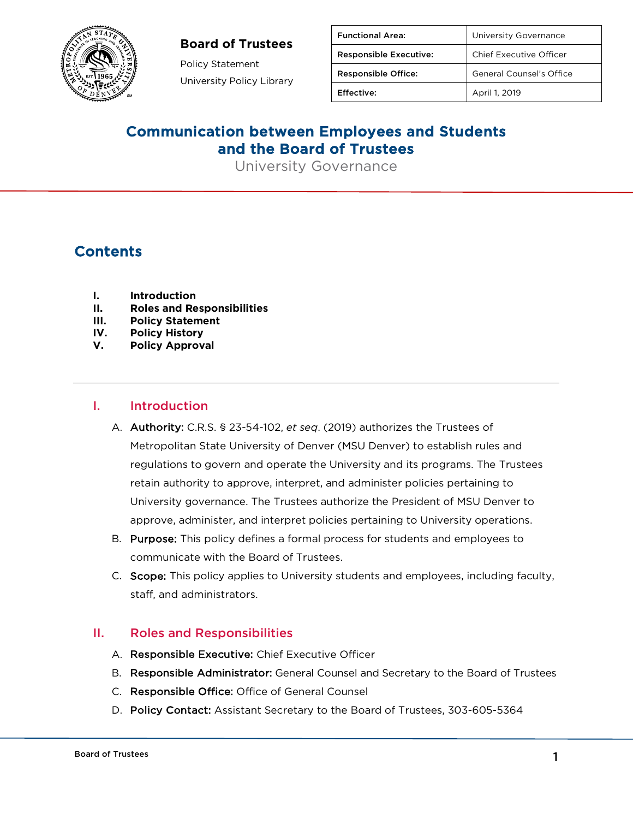## **Board of Trustees**



Policy Statement University Policy Library

| <b>Functional Area:</b>       | University Governance    |
|-------------------------------|--------------------------|
| <b>Responsible Executive:</b> | Chief Executive Officer  |
| <b>Responsible Office:</b>    | General Counsel's Office |
| Effective:                    | April 1, 2019            |

# Communication between Employees and Students and the Board of Trustees

University Governance

# **Contents**

- **I. Introduction**
- **II. Roles and Responsibilities**
- **III. Policy Statement**
- **IV. Policy History**
- **V. Policy Approval**

#### I. Introduction

- A. Authority: C.R.S. § 23-54-102, *et seq*. (2019) authorizes the Trustees of Metropolitan State University of Denver (MSU Denver) to establish rules and regulations to govern and operate the University and its programs. The Trustees retain authority to approve, interpret, and administer policies pertaining to University governance. The Trustees authorize the President of MSU Denver to approve, administer, and interpret policies pertaining to University operations.
- B. Purpose: This policy defines a formal process for students and employees to communicate with the Board of Trustees.
- C. Scope: This policy applies to University students and employees, including faculty, staff, and administrators.

#### II. Roles and Responsibilities

- A. Responsible Executive: Chief Executive Officer
- B. Responsible Administrator: General Counsel and Secretary to the Board of Trustees
- C. Responsible Office: Office of General Counsel
- D. Policy Contact: Assistant Secretary to the Board of Trustees, 303-605-5364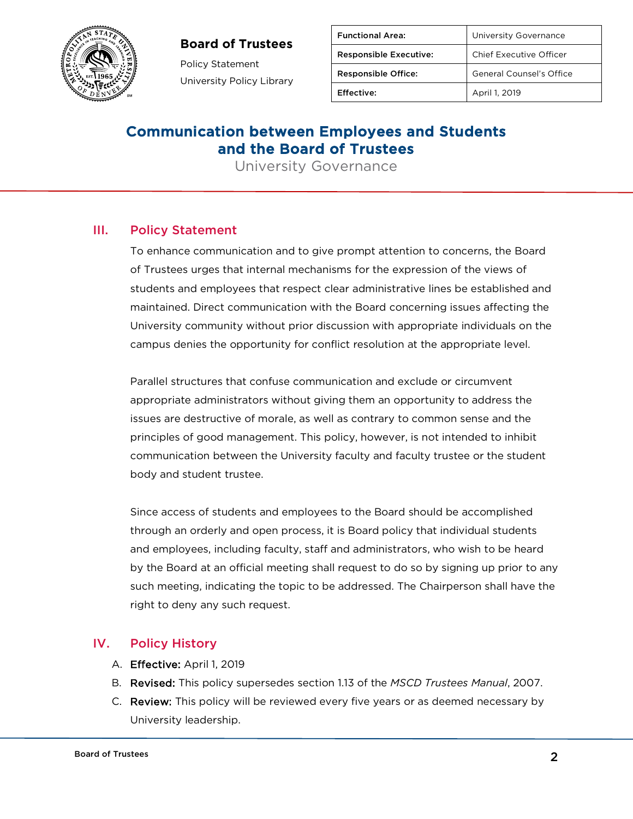## **Board of Trustees**



Policy Statement University Policy Library

| <b>Functional Area:</b>       | University Governance           |
|-------------------------------|---------------------------------|
| <b>Responsible Executive:</b> | <b>Chief Executive Officer</b>  |
| <b>Responsible Office:</b>    | <b>General Counsel's Office</b> |
| Effective:                    | April 1, 2019                   |

# Communication between Employees and Students and the Board of Trustees

University Governance

#### III. Policy Statement

To enhance communication and to give prompt attention to concerns, the Board of Trustees urges that internal mechanisms for the expression of the views of students and employees that respect clear administrative lines be established and maintained. Direct communication with the Board concerning issues affecting the University community without prior discussion with appropriate individuals on the campus denies the opportunity for conflict resolution at the appropriate level.

Parallel structures that confuse communication and exclude or circumvent appropriate administrators without giving them an opportunity to address the issues are destructive of morale, as well as contrary to common sense and the principles of good management. This policy, however, is not intended to inhibit communication between the University faculty and faculty trustee or the student body and student trustee.

Since access of students and employees to the Board should be accomplished through an orderly and open process, it is Board policy that individual students and employees, including faculty, staff and administrators, who wish to be heard by the Board at an official meeting shall request to do so by signing up prior to any such meeting, indicating the topic to be addressed. The Chairperson shall have the right to deny any such request.

#### IV. Policy History

- A. Effective: April 1, 2019
- B. Revised: This policy supersedes section 1.13 of the *MSCD Trustees Manual*, 2007.
- C. Review: This policy will be reviewed every five years or as deemed necessary by University leadership.